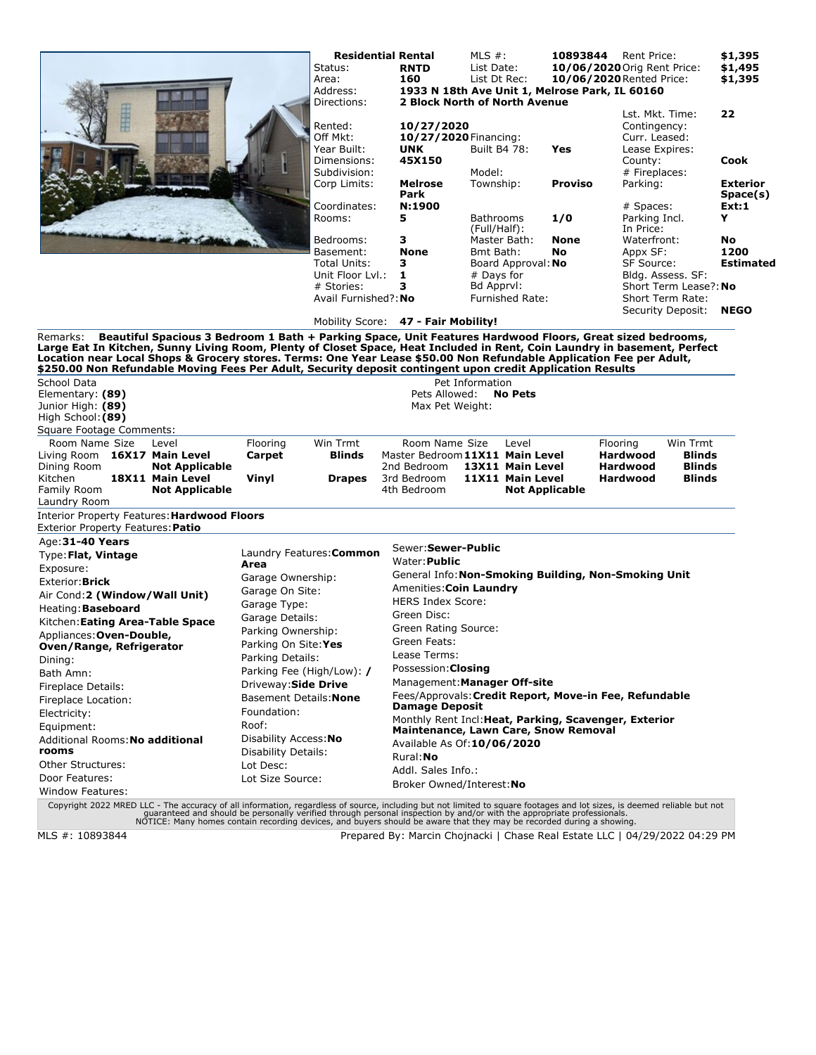|                                                                                                                                                                                                                                                                                                                                                                                                                                                                                         |                                    | Status:<br>Area:<br>Address:<br>Directions:       | <b>Residential Rental</b><br><b>RNTD</b><br>160<br>2 Block North of North Avenue | MLS $#$ :<br>List Date:<br>List Dt Rec:               |                        |                | 10893844 Rent Price:<br>10/06/2020 Orig Rent Price:<br>10/06/2020 Rented Price:<br>1933 N 18th Ave Unit 1, Melrose Park, IL 60160                                    |                           | \$1,395<br>\$1,495<br>\$1,395 |  |
|-----------------------------------------------------------------------------------------------------------------------------------------------------------------------------------------------------------------------------------------------------------------------------------------------------------------------------------------------------------------------------------------------------------------------------------------------------------------------------------------|------------------------------------|---------------------------------------------------|----------------------------------------------------------------------------------|-------------------------------------------------------|------------------------|----------------|----------------------------------------------------------------------------------------------------------------------------------------------------------------------|---------------------------|-------------------------------|--|
|                                                                                                                                                                                                                                                                                                                                                                                                                                                                                         | Rented:<br>Off Mkt:<br>Year Built: | 10/27/2020<br>10/27/2020 Financing:<br><b>UNK</b> |                                                                                  | Built B4 78:<br>Yes                                   |                        |                | Lst. Mkt. Time:<br>Contingency:<br>Curr. Leased:<br>Lease Expires:                                                                                                   |                           |                               |  |
|                                                                                                                                                                                                                                                                                                                                                                                                                                                                                         |                                    | Dimensions:<br>Subdivision:                       | 45X150                                                                           |                                                       |                        |                | County:                                                                                                                                                              |                           | Cook                          |  |
|                                                                                                                                                                                                                                                                                                                                                                                                                                                                                         |                                    | Corp Limits:                                      | <b>Melrose</b>                                                                   | Model:<br>Township:                                   |                        | <b>Proviso</b> | # Fireplaces:<br>Parking:                                                                                                                                            |                           | <b>Exterior</b>               |  |
|                                                                                                                                                                                                                                                                                                                                                                                                                                                                                         |                                    |                                                   | Park                                                                             |                                                       |                        |                |                                                                                                                                                                      |                           | Space(s)                      |  |
|                                                                                                                                                                                                                                                                                                                                                                                                                                                                                         |                                    | Coordinates:<br>Rooms:                            | N:1900<br>5                                                                      | Bathrooms<br>(Full/Half):                             |                        | 1/0            | # Spaces:<br>Parking Incl.<br>In Price:                                                                                                                              |                           | Ext:1<br>Y                    |  |
|                                                                                                                                                                                                                                                                                                                                                                                                                                                                                         |                                    | Bedrooms:                                         | з                                                                                |                                                       | Master Bath:           | <b>None</b>    | Waterfront:                                                                                                                                                          |                           | No                            |  |
|                                                                                                                                                                                                                                                                                                                                                                                                                                                                                         |                                    | Basement:                                         | <b>None</b>                                                                      | Bmt Bath:                                             |                        | <b>No</b>      | Appx SF:                                                                                                                                                             |                           | 1200                          |  |
|                                                                                                                                                                                                                                                                                                                                                                                                                                                                                         | Total Units:                       | з                                                 |                                                                                  | Board Approval: No                                    |                        |                | SF Source:<br>Bldg. Assess. SF:<br>Short Term Lease?: No                                                                                                             |                           |                               |  |
|                                                                                                                                                                                                                                                                                                                                                                                                                                                                                         |                                    | Unit Floor Lyl.:                                  | 1                                                                                | # Days for                                            |                        |                |                                                                                                                                                                      |                           |                               |  |
|                                                                                                                                                                                                                                                                                                                                                                                                                                                                                         |                                    | # Stories:                                        | з                                                                                |                                                       | Bd Apprvl:             |                |                                                                                                                                                                      |                           |                               |  |
|                                                                                                                                                                                                                                                                                                                                                                                                                                                                                         |                                    | Avail Furnished?: No                              |                                                                                  |                                                       | <b>Furnished Rate:</b> |                |                                                                                                                                                                      | Short Term Rate:          |                               |  |
|                                                                                                                                                                                                                                                                                                                                                                                                                                                                                         |                                    |                                                   | Mobility Score: 47 - Fair Mobility!                                              |                                                       |                        |                |                                                                                                                                                                      | Security Deposit:         | <b>NEGO</b>                   |  |
| Beautiful Spacious 3 Bedroom 1 Bath + Parking Space, Unit Features Hardwood Floors, Great sized bedrooms,<br>Remarks:<br>Large Eat In Kitchen, Sunny Living Room, Plenty of Closet Space, Heat Included in Rent, Coin Laundry in basement, Perfect<br>Location near Local Shops & Grocery stores, Terms: One Year Lease \$50.00 Non Refundable Application Fee per Adult,<br>\$250.00 Non Refundable Moving Fees Per Adult, Security deposit contingent upon credit Application Results |                                    |                                                   |                                                                                  |                                                       |                        |                |                                                                                                                                                                      |                           |                               |  |
| School Data                                                                                                                                                                                                                                                                                                                                                                                                                                                                             |                                    |                                                   |                                                                                  | Pet Information                                       |                        |                |                                                                                                                                                                      |                           |                               |  |
| Elementary: (89)                                                                                                                                                                                                                                                                                                                                                                                                                                                                        |                                    |                                                   | Pets Allowed:                                                                    |                                                       | <b>No Pets</b>         |                |                                                                                                                                                                      |                           |                               |  |
| Junior High: (89)                                                                                                                                                                                                                                                                                                                                                                                                                                                                       |                                    |                                                   | Max Pet Weight:                                                                  |                                                       |                        |                |                                                                                                                                                                      |                           |                               |  |
| High School: (89)                                                                                                                                                                                                                                                                                                                                                                                                                                                                       |                                    |                                                   |                                                                                  |                                                       |                        |                |                                                                                                                                                                      |                           |                               |  |
| Square Footage Comments:                                                                                                                                                                                                                                                                                                                                                                                                                                                                |                                    |                                                   |                                                                                  |                                                       |                        |                |                                                                                                                                                                      |                           |                               |  |
| Room Name Size<br>Level<br>Living Room 16X17 Main Level                                                                                                                                                                                                                                                                                                                                                                                                                                 | Flooring<br>Carpet                 | Win Trmt<br><b>Blinds</b>                         | Room Name Size<br>Master Bedroom 11X11 Main Level                                |                                                       | Level                  |                | Flooring<br><b>Hardwood</b>                                                                                                                                          | Win Trmt<br><b>Blinds</b> |                               |  |
| Dining Room<br><b>Not Applicable</b>                                                                                                                                                                                                                                                                                                                                                                                                                                                    |                                    |                                                   | 2nd Bedroom                                                                      |                                                       | 13X11 Main Level       |                | <b>Hardwood</b>                                                                                                                                                      | <b>Blinds</b>             |                               |  |
| Kitchen<br>18X11 Main Level                                                                                                                                                                                                                                                                                                                                                                                                                                                             | Vinyl                              | <b>Drapes</b>                                     | 3rd Bedroom                                                                      |                                                       | 11X11 Main Level       |                | <b>Hardwood</b>                                                                                                                                                      | <b>Blinds</b>             |                               |  |
| Family Room<br><b>Not Applicable</b>                                                                                                                                                                                                                                                                                                                                                                                                                                                    |                                    |                                                   | 4th Bedroom                                                                      |                                                       | <b>Not Applicable</b>  |                |                                                                                                                                                                      |                           |                               |  |
| Laundry Room                                                                                                                                                                                                                                                                                                                                                                                                                                                                            |                                    |                                                   |                                                                                  |                                                       |                        |                |                                                                                                                                                                      |                           |                               |  |
| Interior Property Features: Hardwood Floors<br>Exterior Property Features: Patio                                                                                                                                                                                                                                                                                                                                                                                                        |                                    |                                                   |                                                                                  |                                                       |                        |                |                                                                                                                                                                      |                           |                               |  |
| Age: 31-40 Years                                                                                                                                                                                                                                                                                                                                                                                                                                                                        |                                    |                                                   | Sewer: Sewer-Public                                                              |                                                       |                        |                |                                                                                                                                                                      |                           |                               |  |
| Type: Flat, Vintage                                                                                                                                                                                                                                                                                                                                                                                                                                                                     | Laundry Features: Common           |                                                   | Water: Public                                                                    |                                                       |                        |                |                                                                                                                                                                      |                           |                               |  |
| Exposure:                                                                                                                                                                                                                                                                                                                                                                                                                                                                               | Area                               |                                                   |                                                                                  | General Info: Non-Smoking Building, Non-Smoking Unit  |                        |                |                                                                                                                                                                      |                           |                               |  |
| Exterior: <b>Brick</b>                                                                                                                                                                                                                                                                                                                                                                                                                                                                  | Garage Ownership:                  |                                                   | Amenities: Coin Laundry                                                          |                                                       |                        |                |                                                                                                                                                                      |                           |                               |  |
| Air Cond: 2 (Window/Wall Unit)                                                                                                                                                                                                                                                                                                                                                                                                                                                          | Garage On Site:                    |                                                   | <b>HERS Index Score:</b>                                                         |                                                       |                        |                |                                                                                                                                                                      |                           |                               |  |
| Heating: <b>Baseboard</b>                                                                                                                                                                                                                                                                                                                                                                                                                                                               | Garage Type:                       |                                                   | Green Disc:                                                                      |                                                       |                        |                |                                                                                                                                                                      |                           |                               |  |
| Kitchen: Eating Area-Table Space                                                                                                                                                                                                                                                                                                                                                                                                                                                        | Garage Details:                    |                                                   | Green Rating Source:                                                             |                                                       |                        |                |                                                                                                                                                                      |                           |                               |  |
| Appliances: Oven-Double,                                                                                                                                                                                                                                                                                                                                                                                                                                                                | Parking Ownership:                 |                                                   | Green Feats:                                                                     |                                                       |                        |                |                                                                                                                                                                      |                           |                               |  |
| Oven/Range, Refrigerator                                                                                                                                                                                                                                                                                                                                                                                                                                                                | Parking On Site: Yes               |                                                   | Lease Terms:                                                                     |                                                       |                        |                |                                                                                                                                                                      |                           |                               |  |
| Dining:                                                                                                                                                                                                                                                                                                                                                                                                                                                                                 | Parking Details:                   |                                                   | Possession: Closing                                                              |                                                       |                        |                |                                                                                                                                                                      |                           |                               |  |
| Bath Amn:                                                                                                                                                                                                                                                                                                                                                                                                                                                                               |                                    | Parking Fee (High/Low): /                         | Management: Manager Off-site                                                     |                                                       |                        |                |                                                                                                                                                                      |                           |                               |  |
| Fireplace Details:                                                                                                                                                                                                                                                                                                                                                                                                                                                                      | Driveway: Side Drive               |                                                   |                                                                                  |                                                       |                        |                |                                                                                                                                                                      |                           |                               |  |
| Fireplace Location:                                                                                                                                                                                                                                                                                                                                                                                                                                                                     | Basement Details: None             |                                                   | Fees/Approvals: Credit Report, Move-in Fee, Refundable<br><b>Damage Deposit</b>  |                                                       |                        |                |                                                                                                                                                                      |                           |                               |  |
| Electricity:                                                                                                                                                                                                                                                                                                                                                                                                                                                                            | Foundation:                        |                                                   |                                                                                  | Monthly Rent Incl: Heat, Parking, Scavenger, Exterior |                        |                |                                                                                                                                                                      |                           |                               |  |
| Roof:<br>Equipment:                                                                                                                                                                                                                                                                                                                                                                                                                                                                     |                                    |                                                   | Maintenance, Lawn Care, Snow Removal                                             |                                                       |                        |                |                                                                                                                                                                      |                           |                               |  |
| Disability Access: No<br>Additional Rooms: No additional                                                                                                                                                                                                                                                                                                                                                                                                                                |                                    |                                                   | Available As Of: 10/06/2020                                                      |                                                       |                        |                |                                                                                                                                                                      |                           |                               |  |
| rooms<br>Disability Details:                                                                                                                                                                                                                                                                                                                                                                                                                                                            |                                    |                                                   | Rural: No                                                                        |                                                       |                        |                |                                                                                                                                                                      |                           |                               |  |
| Other Structures:<br>Lot Desc:                                                                                                                                                                                                                                                                                                                                                                                                                                                          |                                    |                                                   | Addl. Sales Info.:                                                               |                                                       |                        |                |                                                                                                                                                                      |                           |                               |  |
| Door Features:<br>Lot Size Source:                                                                                                                                                                                                                                                                                                                                                                                                                                                      |                                    |                                                   | Broker Owned/Interest: No                                                        |                                                       |                        |                |                                                                                                                                                                      |                           |                               |  |
| Window Features:                                                                                                                                                                                                                                                                                                                                                                                                                                                                        |                                    |                                                   |                                                                                  |                                                       |                        |                | Convright 2022 MRED LLC - The accuracy of all information regardless of source including but not limited to square footages and lot sizes is deemed reliable but not |                           |                               |  |

Copyright 2022 MRED LLC - The accuracy of all information, regardless of source, including but not limited to square footages and lot sizes, is deemed reliable but not<br>guaranteed and should be personally verified through p

MLS #: 10893844 Prepared By: Marcin Chojnacki | Chase Real Estate LLC | 04/29/2022 04:29 PM